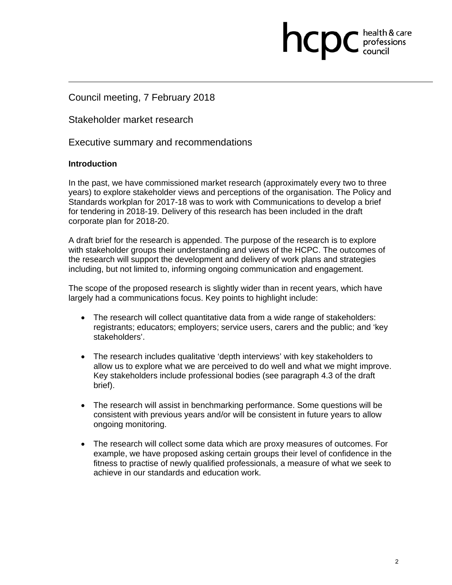Council meeting, 7 February 2018

Stakeholder market research

Executive summary and recommendations

#### **Introduction**

In the past, we have commissioned market research (approximately every two to three years) to explore stakeholder views and perceptions of the organisation. The Policy and Standards workplan for 2017-18 was to work with Communications to develop a brief for tendering in 2018-19. Delivery of this research has been included in the draft corporate plan for 2018-20.

**health & care** 

A draft brief for the research is appended. The purpose of the research is to explore with stakeholder groups their understanding and views of the HCPC. The outcomes of the research will support the development and delivery of work plans and strategies including, but not limited to, informing ongoing communication and engagement.

The scope of the proposed research is slightly wider than in recent years, which have largely had a communications focus. Key points to highlight include:

- The research will collect quantitative data from a wide range of stakeholders: registrants; educators; employers; service users, carers and the public; and 'key stakeholders'.
- The research includes qualitative 'depth interviews' with key stakeholders to allow us to explore what we are perceived to do well and what we might improve. Key stakeholders include professional bodies (see paragraph 4.3 of the draft brief).
- The research will assist in benchmarking performance. Some questions will be consistent with previous years and/or will be consistent in future years to allow ongoing monitoring.
- The research will collect some data which are proxy measures of outcomes. For example, we have proposed asking certain groups their level of confidence in the fitness to practise of newly qualified professionals, a measure of what we seek to achieve in our standards and education work.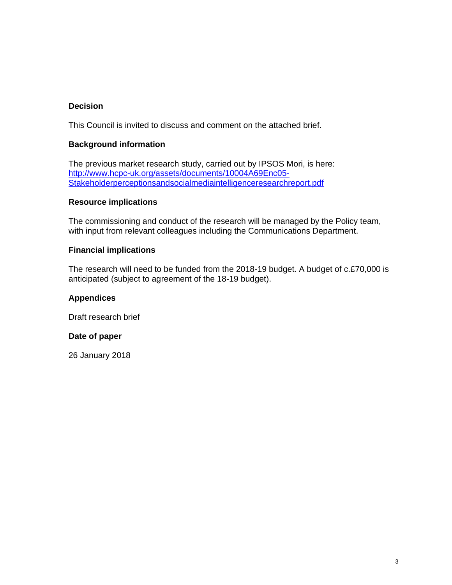# **Decision**

This Council is invited to discuss and comment on the attached brief.

#### **Background information**

The previous market research study, carried out by IPSOS Mori, is here: http://www.hcpc-uk.org/assets/documents/10004A69Enc05- Stakeholderperceptionsandsocialmediaintelligenceresearchreport.pdf

#### **Resource implications**

The commissioning and conduct of the research will be managed by the Policy team, with input from relevant colleagues including the Communications Department.

#### **Financial implications**

The research will need to be funded from the 2018-19 budget. A budget of c.£70,000 is anticipated (subject to agreement of the 18-19 budget).

#### **Appendices**

Draft research brief

#### **Date of paper**

26 January 2018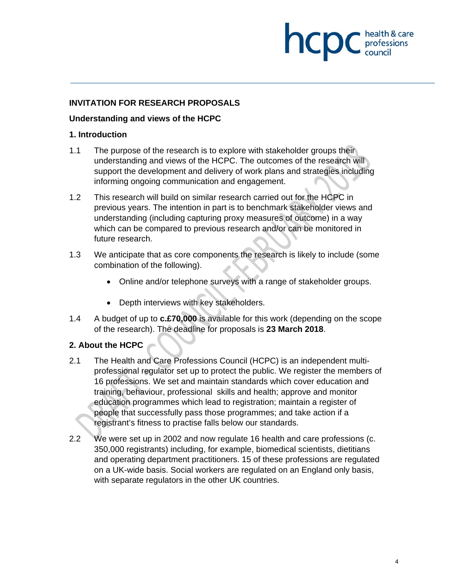# hcp professions<br>council

# **INVITATION FOR RESEARCH PROPOSALS**

#### **Understanding and views of the HCPC**

## **1. Introduction**

- 1.1 The purpose of the research is to explore with stakeholder groups their understanding and views of the HCPC. The outcomes of the research will support the development and delivery of work plans and strategies including informing ongoing communication and engagement.
- 1.2 This research will build on similar research carried out for the HCPC in previous years. The intention in part is to benchmark stakeholder views and understanding (including capturing proxy measures of outcome) in a way which can be compared to previous research and/or can be monitored in future research.
- 1.3 We anticipate that as core components the research is likely to include (some combination of the following).
	- Online and/or telephone surveys with a range of stakeholder groups.
	- Depth interviews with key stakeholders.
- 1.4 A budget of up to **c.£70,000** is available for this work (depending on the scope of the research). The deadline for proposals is **23 March 2018**.

# **2. About the HCPC**

- 2.1 The Health and Care Professions Council (HCPC) is an independent multiprofessional regulator set up to protect the public. We register the members of 16 professions. We set and maintain standards which cover education and training, behaviour, professional skills and health; approve and monitor education programmes which lead to registration; maintain a register of people that successfully pass those programmes; and take action if a registrant's fitness to practise falls below our standards.
- 2.2 We were set up in 2002 and now regulate 16 health and care professions (c. 350,000 registrants) including, for example, biomedical scientists, dietitians and operating department practitioners. 15 of these professions are regulated on a UK-wide basis. Social workers are regulated on an England only basis, with separate regulators in the other UK countries.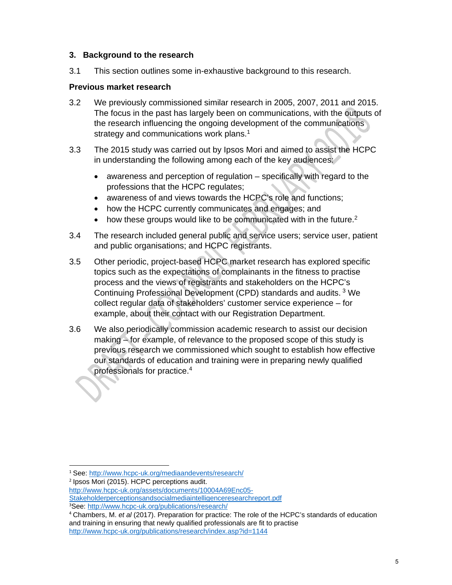## **3. Background to the research**

3.1 This section outlines some in-exhaustive background to this research.

# **Previous market research**

- 3.2 We previously commissioned similar research in 2005, 2007, 2011 and 2015. The focus in the past has largely been on communications, with the outputs of the research influencing the ongoing development of the communications strategy and communications work plans.<sup>1</sup>
- 3.3 The 2015 study was carried out by Ipsos Mori and aimed to assist the HCPC in understanding the following among each of the key audiences:
	- awareness and perception of regulation specifically with regard to the professions that the HCPC regulates;
	- awareness of and views towards the HCPC's role and functions;
	- how the HCPC currently communicates and engages; and
	- how these groups would like to be communicated with in the future.<sup>2</sup>
- 3.4 The research included general public and service users; service user, patient and public organisations; and HCPC registrants.
- 3.5 Other periodic, project-based HCPC market research has explored specific topics such as the expectations of complainants in the fitness to practise process and the views of registrants and stakeholders on the HCPC's Continuing Professional Development (CPD) standards and audits. 3 We collect regular data of stakeholders' customer service experience – for example, about their contact with our Registration Department.
- 3.6 We also periodically commission academic research to assist our decision making – for example, of relevance to the proposed scope of this study is previous research we commissioned which sought to establish how effective our standards of education and training were in preparing newly qualified professionals for practice.4

<sup>1</sup> See: http://www.hcpc-uk.org/mediaandevents/research/

<sup>2</sup> Ipsos Mori (2015). HCPC perceptions audit.

http://www.hcpc-uk.org/assets/documents/10004A69Enc05-

Stakeholderperceptionsandsocialmediaintelligenceresearchreport.pdf <sup>3</sup>See: http://www.hcpc-uk.org/publications/research/

<sup>4</sup> Chambers, M. *et al* (2017). Preparation for practice: The role of the HCPC's standards of education and training in ensuring that newly qualified professionals are fit to practise http://www.hcpc-uk.org/publications/research/index.asp?id=1144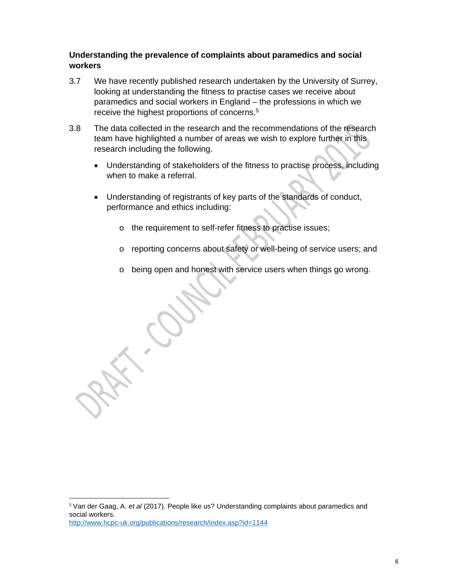# **Understanding the prevalence of complaints about paramedics and social workers**

- 3.7 We have recently published research undertaken by the University of Surrey, looking at understanding the fitness to practise cases we receive about paramedics and social workers in England – the professions in which we receive the highest proportions of concerns.5
- 3.8 The data collected in the research and the recommendations of the research team have highlighted a number of areas we wish to explore further in this research including the following.
	- Understanding of stakeholders of the fitness to practise process, including when to make a referral.
	- Understanding of registrants of key parts of the standards of conduct, performance and ethics including:
		- o the requirement to self-refer fitness to practise issues;
		- o reporting concerns about safety or well-being of service users; and
		- o being open and honest with service users when things go wrong.

<sup>5</sup> Van der Gaag, A. *et al* (2017). People like us? Understanding complaints about paramedics and social workers.

http://www.hcpc-uk.org/publications/research/index.asp?id=1144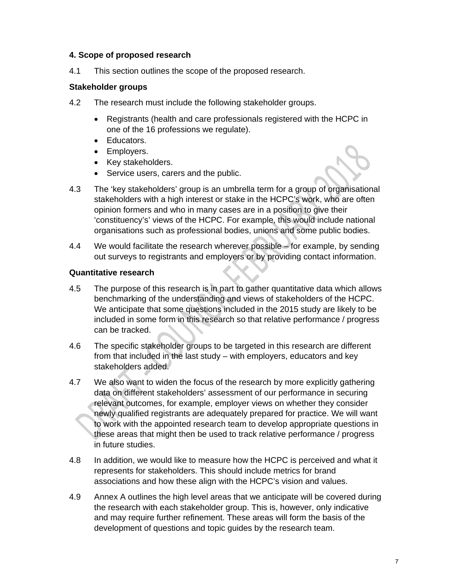# **4. Scope of proposed research**

4.1 This section outlines the scope of the proposed research.

# **Stakeholder groups**

- 4.2 The research must include the following stakeholder groups.
	- Registrants (health and care professionals registered with the HCPC in one of the 16 professions we regulate).
	- Educators.
	- Employers.
	- Key stakeholders.
	- Service users, carers and the public.
- 4.3 The 'key stakeholders' group is an umbrella term for a group of organisational stakeholders with a high interest or stake in the HCPC's work, who are often opinion formers and who in many cases are in a position to give their 'constituency's' views of the HCPC. For example, this would include national organisations such as professional bodies, unions and some public bodies.
- 4.4 We would facilitate the research wherever possible for example, by sending out surveys to registrants and employers or by providing contact information.

# **Quantitative research**

- 4.5 The purpose of this research is in part to gather quantitative data which allows benchmarking of the understanding and views of stakeholders of the HCPC. We anticipate that some questions included in the 2015 study are likely to be included in some form in this research so that relative performance / progress can be tracked.
- 4.6 The specific stakeholder groups to be targeted in this research are different from that included in the last study – with employers, educators and key stakeholders added.
- 4.7 We also want to widen the focus of the research by more explicitly gathering data on different stakeholders' assessment of our performance in securing relevant outcomes, for example, employer views on whether they consider newly qualified registrants are adequately prepared for practice. We will want to work with the appointed research team to develop appropriate questions in these areas that might then be used to track relative performance / progress in future studies.
- 4.8 In addition, we would like to measure how the HCPC is perceived and what it represents for stakeholders. This should include metrics for brand associations and how these align with the HCPC's vision and values.
- 4.9 Annex A outlines the high level areas that we anticipate will be covered during the research with each stakeholder group. This is, however, only indicative and may require further refinement. These areas will form the basis of the development of questions and topic guides by the research team.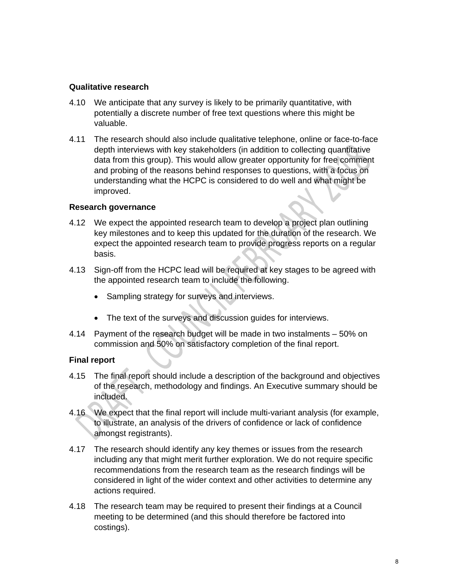# **Qualitative research**

- 4.10 We anticipate that any survey is likely to be primarily quantitative, with potentially a discrete number of free text questions where this might be valuable.
- 4.11 The research should also include qualitative telephone, online or face-to-face depth interviews with key stakeholders (in addition to collecting quantitative data from this group). This would allow greater opportunity for free comment and probing of the reasons behind responses to questions, with a focus on understanding what the HCPC is considered to do well and what might be improved.

#### **Research governance**

- 4.12 We expect the appointed research team to develop a project plan outlining key milestones and to keep this updated for the duration of the research. We expect the appointed research team to provide progress reports on a regular basis.
- 4.13 Sign-off from the HCPC lead will be required at key stages to be agreed with the appointed research team to include the following.
	- Sampling strategy for surveys and interviews.
	- The text of the surveys and discussion guides for interviews.
- 4.14 Payment of the research budget will be made in two instalments 50% on commission and 50% on satisfactory completion of the final report.

# **Final report**

- 4.15 The final report should include a description of the background and objectives of the research, methodology and findings. An Executive summary should be included.
- 4.16 We expect that the final report will include multi-variant analysis (for example, to illustrate, an analysis of the drivers of confidence or lack of confidence amongst registrants).
- 4.17 The research should identify any key themes or issues from the research including any that might merit further exploration. We do not require specific recommendations from the research team as the research findings will be considered in light of the wider context and other activities to determine any actions required.
- 4.18 The research team may be required to present their findings at a Council meeting to be determined (and this should therefore be factored into costings).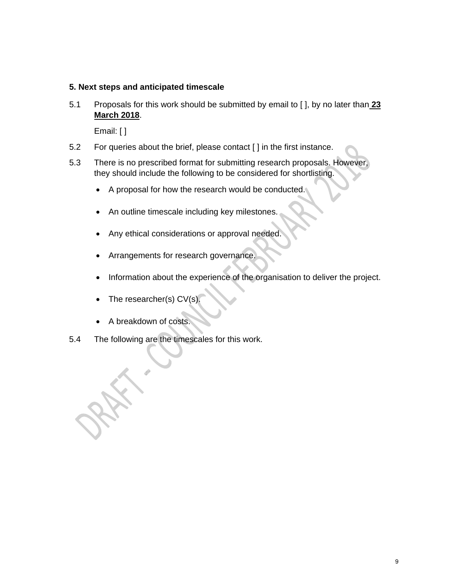## **5. Next steps and anticipated timescale**

5.1 Proposals for this work should be submitted by email to [ ], by no later than **23 March 2018**.

Email: [ ]

- 5.2 For queries about the brief, please contact [] in the first instance.
- 5.3 There is no prescribed format for submitting research proposals. However, they should include the following to be considered for shortlisting.
	- A proposal for how the research would be conducted.
	- An outline timescale including key milestones.
	- Any ethical considerations or approval needed.
	- Arrangements for research governance.
	- Information about the experience of the organisation to deliver the project.
	- The researcher(s) CV(s).
	- A breakdown of costs.
- 5.4 The following are the timescales for this work.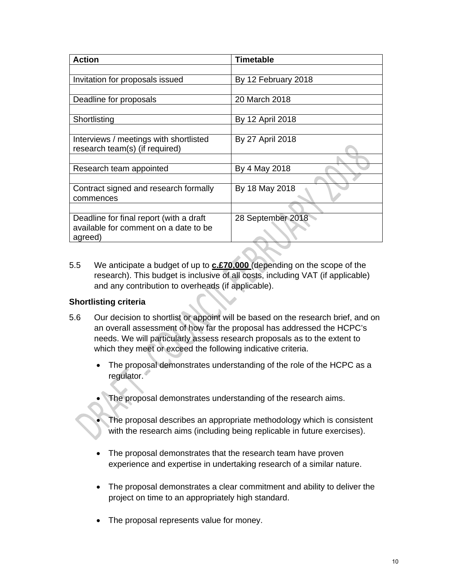| <b>Action</b>                           | <b>Timetable</b>    |
|-----------------------------------------|---------------------|
|                                         |                     |
| Invitation for proposals issued         | By 12 February 2018 |
|                                         |                     |
| Deadline for proposals                  | 20 March 2018       |
|                                         |                     |
| Shortlisting                            | By 12 April 2018    |
|                                         |                     |
| Interviews / meetings with shortlisted  | By 27 April 2018    |
| research team(s) (if required)          |                     |
|                                         |                     |
| Research team appointed                 | By 4 May 2018       |
|                                         |                     |
| Contract signed and research formally   | By 18 May 2018      |
| commences                               |                     |
|                                         |                     |
| Deadline for final report (with a draft | 28 September 2018   |
| available for comment on a date to be   |                     |
| agreed)                                 |                     |

5.5 We anticipate a budget of up to **c.£70,000** (depending on the scope of the research). This budget is inclusive of all costs, including VAT (if applicable) and any contribution to overheads (if applicable).

# **Shortlisting criteria**

- 5.6 Our decision to shortlist or appoint will be based on the research brief, and on an overall assessment of how far the proposal has addressed the HCPC's needs. We will particularly assess research proposals as to the extent to which they meet or exceed the following indicative criteria.
	- The proposal demonstrates understanding of the role of the HCPC as a regulator.
	- The proposal demonstrates understanding of the research aims.
	- The proposal describes an appropriate methodology which is consistent with the research aims (including being replicable in future exercises).
	- The proposal demonstrates that the research team have proven experience and expertise in undertaking research of a similar nature.
	- The proposal demonstrates a clear commitment and ability to deliver the project on time to an appropriately high standard.
	- The proposal represents value for money.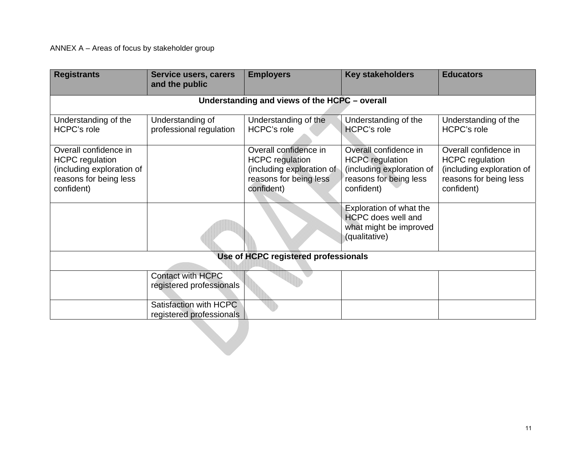| <b>Registrants</b>                                                                                                   | Service users, carers<br>and the public              | <b>Employers</b>                                                                                                     | <b>Key stakeholders</b>                                                                                              | <b>Educators</b>                                                                                                     |
|----------------------------------------------------------------------------------------------------------------------|------------------------------------------------------|----------------------------------------------------------------------------------------------------------------------|----------------------------------------------------------------------------------------------------------------------|----------------------------------------------------------------------------------------------------------------------|
|                                                                                                                      |                                                      | Understanding and views of the HCPC - overall                                                                        |                                                                                                                      |                                                                                                                      |
| Understanding of the<br><b>HCPC's role</b>                                                                           | Understanding of<br>professional regulation          | Understanding of the<br><b>HCPC's role</b>                                                                           | Understanding of the<br><b>HCPC's role</b>                                                                           | Understanding of the<br><b>HCPC's role</b>                                                                           |
| Overall confidence in<br><b>HCPC</b> regulation<br>(including exploration of<br>reasons for being less<br>confident) |                                                      | Overall confidence in<br><b>HCPC</b> regulation<br>(including exploration of<br>reasons for being less<br>confident) | Overall confidence in<br><b>HCPC</b> regulation<br>(including exploration of<br>reasons for being less<br>confident) | Overall confidence in<br><b>HCPC</b> regulation<br>(including exploration of<br>reasons for being less<br>confident) |
|                                                                                                                      |                                                      |                                                                                                                      | Exploration of what the<br><b>HCPC</b> does well and<br>what might be improved<br>(qualitative)                      |                                                                                                                      |
| Use of HCPC registered professionals                                                                                 |                                                      |                                                                                                                      |                                                                                                                      |                                                                                                                      |
|                                                                                                                      | <b>Contact with HCPC</b><br>registered professionals |                                                                                                                      |                                                                                                                      |                                                                                                                      |
|                                                                                                                      | Satisfaction with HCPC<br>registered professionals   |                                                                                                                      |                                                                                                                      |                                                                                                                      |
|                                                                                                                      |                                                      |                                                                                                                      |                                                                                                                      |                                                                                                                      |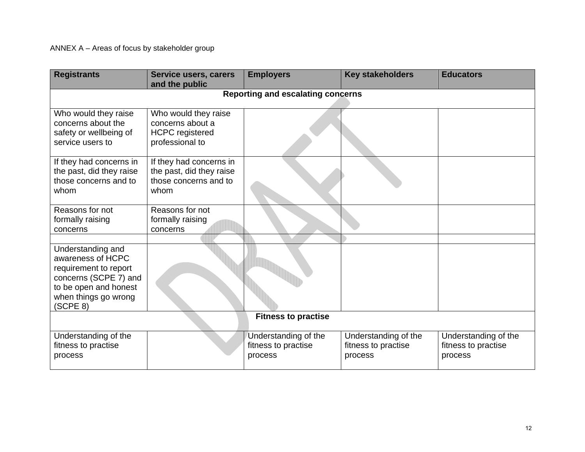| <b>Registrants</b>                                                                                                                                    | Service users, carers<br>and the public                                               | <b>Employers</b>                                       | <b>Key stakeholders</b>                                | <b>Educators</b>                                       |  |
|-------------------------------------------------------------------------------------------------------------------------------------------------------|---------------------------------------------------------------------------------------|--------------------------------------------------------|--------------------------------------------------------|--------------------------------------------------------|--|
| <b>Reporting and escalating concerns</b>                                                                                                              |                                                                                       |                                                        |                                                        |                                                        |  |
| Who would they raise<br>concerns about the<br>safety or wellbeing of<br>service users to                                                              | Who would they raise<br>concerns about a<br><b>HCPC</b> registered<br>professional to |                                                        |                                                        |                                                        |  |
| If they had concerns in<br>the past, did they raise<br>those concerns and to<br>whom                                                                  | If they had concerns in<br>the past, did they raise<br>those concerns and to<br>whom  |                                                        |                                                        |                                                        |  |
| Reasons for not<br>formally raising<br>concerns                                                                                                       | Reasons for not<br>formally raising<br>concerns                                       |                                                        |                                                        |                                                        |  |
| Understanding and<br>awareness of HCPC<br>requirement to report<br>concerns (SCPE 7) and<br>to be open and honest<br>when things go wrong<br>(SCPE 8) |                                                                                       |                                                        |                                                        |                                                        |  |
| <b>Fitness to practise</b>                                                                                                                            |                                                                                       |                                                        |                                                        |                                                        |  |
| Understanding of the<br>fitness to practise<br>process                                                                                                |                                                                                       | Understanding of the<br>fitness to practise<br>process | Understanding of the<br>fitness to practise<br>process | Understanding of the<br>fitness to practise<br>process |  |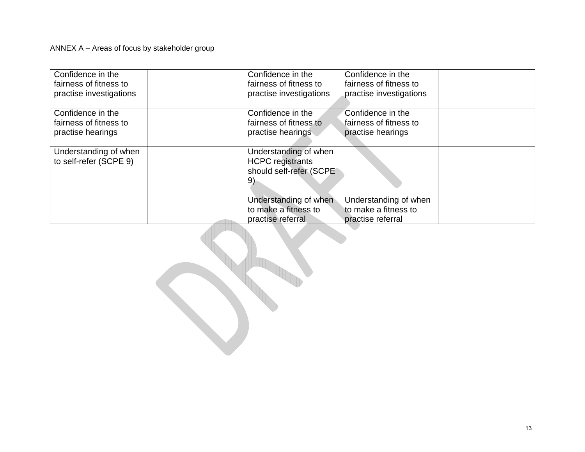# ANNEX A – Areas of focus by stakeholder group

| Confidence in the<br>fairness of fitness to | Confidence in the<br>fairness of fitness to | Confidence in the<br>fairness of fitness to |  |
|---------------------------------------------|---------------------------------------------|---------------------------------------------|--|
| practise investigations                     | practise investigations                     | practise investigations                     |  |
| Confidence in the                           | Confidence in the                           | Confidence in the                           |  |
| fairness of fitness to                      | fairness of fitness to                      | fairness of fitness to                      |  |
| practise hearings                           | practise hearings                           | practise hearings                           |  |
| Understanding of when                       | Understanding of when                       |                                             |  |
| to self-refer (SCPE 9)                      | <b>HCPC</b> registrants                     |                                             |  |
|                                             | should self-refer (SCPE)                    |                                             |  |
|                                             | 9)                                          |                                             |  |
|                                             | Understanding of when                       | Understanding of when                       |  |
|                                             | to make a fitness to                        | to make a fitness to                        |  |
|                                             | practise referral                           | practise referral                           |  |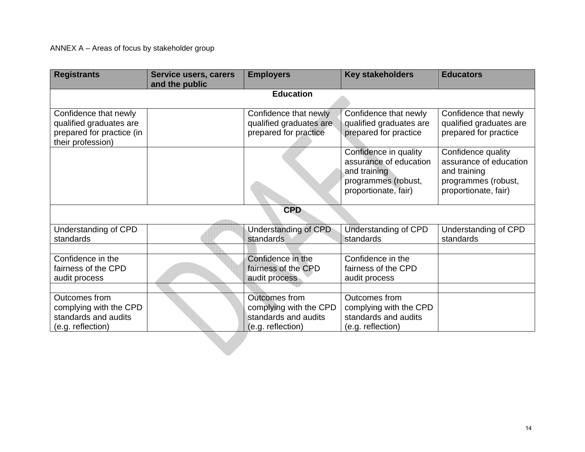| <b>Registrants</b>                                                                                 | <b>Service users, carers</b><br>and the public | <b>Employers</b>                                                                     | <b>Key stakeholders</b>                                                                                        | <b>Educators</b>                                                                                            |
|----------------------------------------------------------------------------------------------------|------------------------------------------------|--------------------------------------------------------------------------------------|----------------------------------------------------------------------------------------------------------------|-------------------------------------------------------------------------------------------------------------|
|                                                                                                    |                                                | <b>Education</b>                                                                     |                                                                                                                |                                                                                                             |
| Confidence that newly<br>qualified graduates are<br>prepared for practice (in<br>their profession) |                                                | Confidence that newly<br>qualified graduates are<br>prepared for practice            | Confidence that newly<br>qualified graduates are<br>prepared for practice                                      | Confidence that newly<br>qualified graduates are<br>prepared for practice                                   |
|                                                                                                    |                                                |                                                                                      | Confidence in quality<br>assurance of education<br>and training<br>programmes (robust,<br>proportionate, fair) | Confidence quality<br>assurance of education<br>and training<br>programmes (robust,<br>proportionate, fair) |
|                                                                                                    |                                                | <b>CPD</b>                                                                           |                                                                                                                |                                                                                                             |
| Understanding of CPD<br>standards                                                                  |                                                | Understanding of CPD<br>standards                                                    | Understanding of CPD<br>standards                                                                              | Understanding of CPD<br>standards                                                                           |
| Confidence in the<br>fairness of the CPD<br>audit process                                          |                                                | Confidence in the<br>fairness of the CPD<br>audit process                            | Confidence in the<br>fairness of the CPD<br>audit process                                                      |                                                                                                             |
| Outcomes from<br>complying with the CPD<br>standards and audits<br>(e.g. reflection)               |                                                | Outcomes from<br>complying with the CPD<br>standards and audits<br>(e.g. reflection) | Outcomes from<br>complying with the CPD<br>standards and audits<br>(e.g. reflection)                           |                                                                                                             |
|                                                                                                    |                                                |                                                                                      |                                                                                                                |                                                                                                             |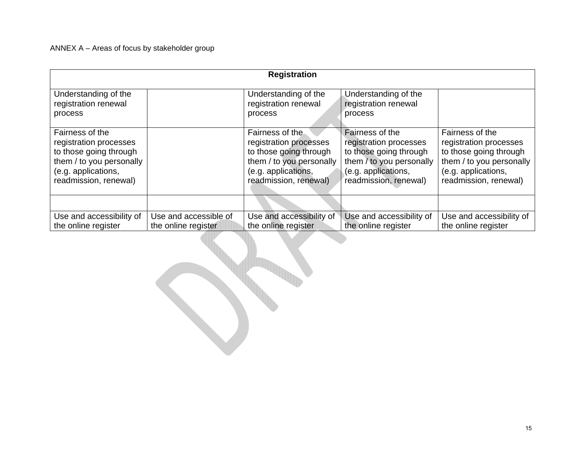| <b>Registration</b>                                                                                                                             |                       |                                                                                                                                                 |                                                                                                                                                 |                                                                                                                                                 |
|-------------------------------------------------------------------------------------------------------------------------------------------------|-----------------------|-------------------------------------------------------------------------------------------------------------------------------------------------|-------------------------------------------------------------------------------------------------------------------------------------------------|-------------------------------------------------------------------------------------------------------------------------------------------------|
| Understanding of the<br>registration renewal<br>process                                                                                         |                       | Understanding of the<br>registration renewal<br>process                                                                                         | Understanding of the<br>registration renewal<br>process                                                                                         |                                                                                                                                                 |
| Fairness of the<br>registration processes<br>to those going through<br>them / to you personally<br>(e.g. applications,<br>readmission, renewal) |                       | Fairness of the<br>registration processes<br>to those going through<br>them / to you personally<br>(e.g. applications,<br>readmission, renewal) | Fairness of the<br>registration processes<br>to those going through<br>them / to you personally<br>(e.g. applications,<br>readmission, renewal) | Fairness of the<br>registration processes<br>to those going through<br>them / to you personally<br>(e.g. applications,<br>readmission, renewal) |
|                                                                                                                                                 |                       |                                                                                                                                                 |                                                                                                                                                 |                                                                                                                                                 |
| Use and accessibility of                                                                                                                        | Use and accessible of | Use and accessibility of                                                                                                                        | Use and accessibility of                                                                                                                        | Use and accessibility of                                                                                                                        |
| the online register                                                                                                                             | the online register   | the online register                                                                                                                             | the online register                                                                                                                             | the online register                                                                                                                             |